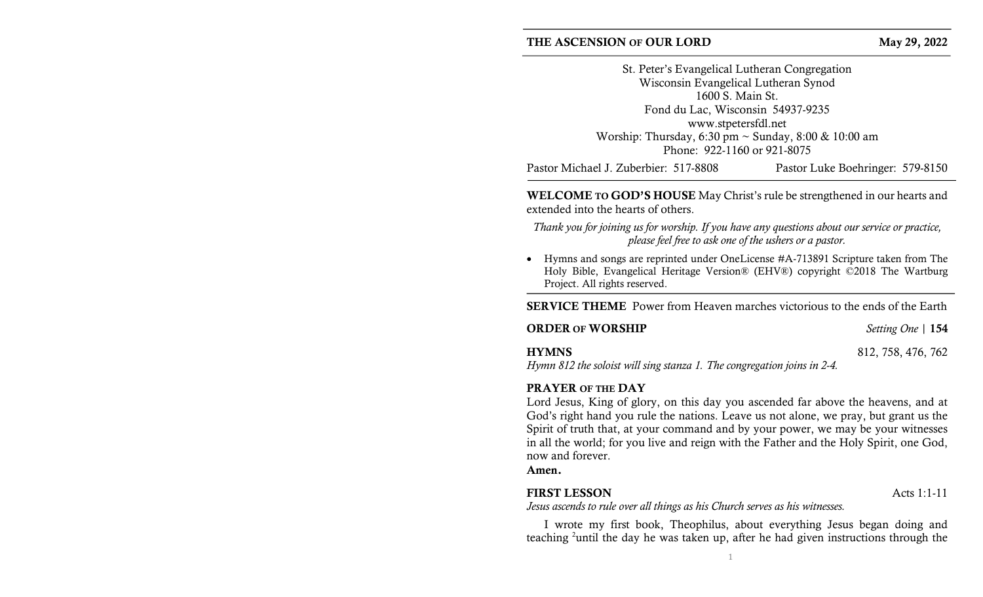#### THE ASCENSION OF OUR LORD May 29, 2022

St. Peter's Evangelical Lutheran Congregation Wisconsin Evangelical Lutheran Synod 1600 S. Main St. Fond du Lac, Wisconsin 54937-9235 www.stpetersfdl.net Worship: Thursday, 6:30 pm ~ Sunday, 8:00 & 10:00 am Phone: 922-1160 or 921-8075

Pastor Michael J. Zuberbier: 517-8808 Pastor Luke Boehringer: 579-8150

WELCOME TO GOD'S HOUSE May Christ's rule be strengthened in our hearts and extended into the hearts of others.

Thank you for joining us for worship. If you have any questions about our service or practice, please feel free to ask one of the ushers or a pastor.

 Hymns and songs are reprinted under OneLicense #A-713891 Scripture taken from The Holy Bible, Evangelical Heritage Version® (EHV®) copyright ©2018 The Wartburg Project. All rights reserved.

SERVICE THEME Power from Heaven marches victorious to the ends of the Earth

**ORDER OF WORSHIP** Setting One | 154

## **HYMNS** 812, 758, 476, 762

Hymn 812 the soloist will sing stanza 1. The congregation joins in 2-4.

## PRAYER OF THE DAY

Lord Jesus, King of glory, on this day you ascended far above the heavens, and at God's right hand you rule the nations. Leave us not alone, we pray, but grant us the Spirit of truth that, at your command and by your power, we may be your witnesses in all the world; for you live and reign with the Father and the Holy Spirit, one God, now and forever.

Amen.

## FIRST LESSON Acts 1:1-11

Jesus ascends to rule over all things as his Church serves as his witnesses.

I wrote my first book, Theophilus, about everything Jesus began doing and teaching 2until the day he was taken up, after he had given instructions through the